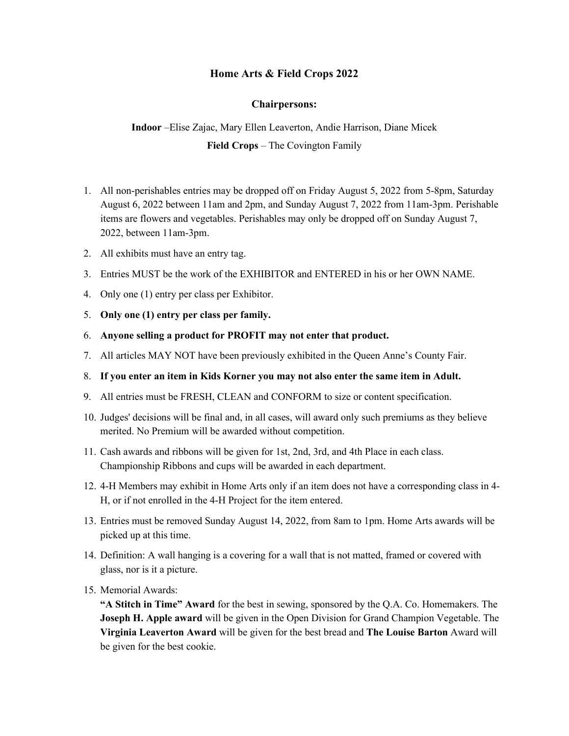### **Home Arts & Field Crops 2022**

#### **Chairpersons:**

**Indoor** –Elise Zajac, Mary Ellen Leaverton, Andie Harrison, Diane Micek **Field Crops** – The Covington Family

- 1. All non-perishables entries may be dropped off on Friday August 5, 2022 from 5-8pm, Saturday August 6, 2022 between 11am and 2pm, and Sunday August 7, 2022 from 11am-3pm. Perishable items are flowers and vegetables. Perishables may only be dropped off on Sunday August 7, 2022, between 11am-3pm.
- 2. All exhibits must have an entry tag.
- 3. Entries MUST be the work of the EXHIBITOR and ENTERED in his or her OWN NAME.
- 4. Only one (1) entry per class per Exhibitor.
- 5. **Only one (1) entry per class per family.**
- 6. **Anyone selling a product for PROFIT may not enter that product.**
- 7. All articles MAY NOT have been previously exhibited in the Queen Anne's County Fair.
- 8. **If you enter an item in Kids Korner you may not also enter the same item in Adult.**
- 9. All entries must be FRESH, CLEAN and CONFORM to size or content specification.
- 10. Judges' decisions will be final and, in all cases, will award only such premiums as they believe merited. No Premium will be awarded without competition.
- 11. Cash awards and ribbons will be given for 1st, 2nd, 3rd, and 4th Place in each class. Championship Ribbons and cups will be awarded in each department.
- 12. 4-H Members may exhibit in Home Arts only if an item does not have a corresponding class in 4- H, or if not enrolled in the 4-H Project for the item entered.
- 13. Entries must be removed Sunday August 14, 2022, from 8am to 1pm. Home Arts awards will be picked up at this time.
- 14. Definition: A wall hanging is a covering for a wall that is not matted, framed or covered with glass, nor is it a picture.
- 15. Memorial Awards:

**"A Stitch in Time" Award** for the best in sewing, sponsored by the Q.A. Co. Homemakers. The **Joseph H. Apple award** will be given in the Open Division for Grand Champion Vegetable. The **Virginia Leaverton Award** will be given for the best bread and **The Louise Barton** Award will be given for the best cookie.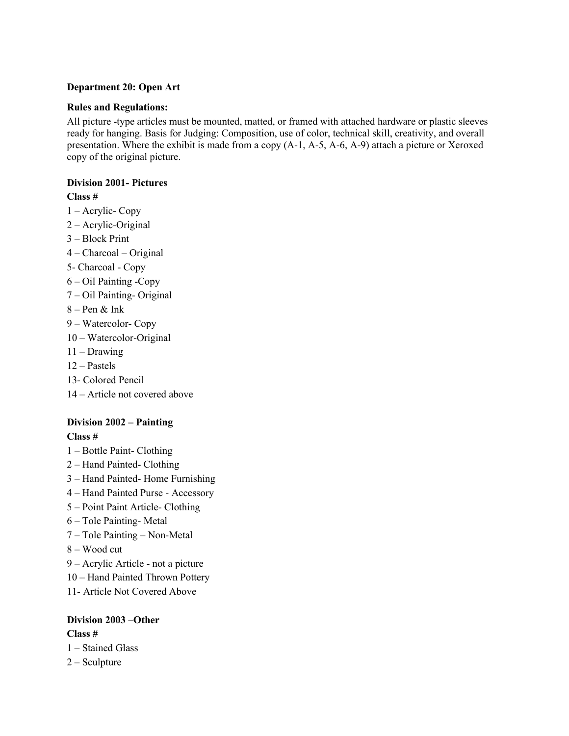#### **Department 20: Open Art**

#### **Rules and Regulations:**

All picture -type articles must be mounted, matted, or framed with attached hardware or plastic sleeves ready for hanging. Basis for Judging: Composition, use of color, technical skill, creativity, and overall presentation. Where the exhibit is made from a copy (A-1, A-5, A-6, A-9) attach a picture or Xeroxed copy of the original picture.

#### **Division 2001- Pictures**

#### **Class #**

- 1 Acrylic- Copy
- 2 Acrylic-Original
- 3 Block Print
- 4 Charcoal Original
- 5- Charcoal Copy
- 6 Oil Painting -Copy
- 7 Oil Painting- Original
- $8 Pen & Ink$
- 9 Watercolor- Copy
- 10 Watercolor-Original
- 11 Drawing
- 12 Pastels
- 13- Colored Pencil
- 14 Article not covered above

#### **Division 2002 – Painting**

#### **Class #**

- 1 Bottle Paint- Clothing
- 2 Hand Painted- Clothing
- 3 Hand Painted- Home Furnishing
- 4 Hand Painted Purse Accessory
- 5 Point Paint Article- Clothing
- 6 Tole Painting- Metal
- 7 Tole Painting Non-Metal
- 8 Wood cut
- 9 Acrylic Article not a picture
- 10 Hand Painted Thrown Pottery
- 11- Article Not Covered Above

#### **Division 2003 –Other Class #**

- 1 Stained Glass
- 2 Sculpture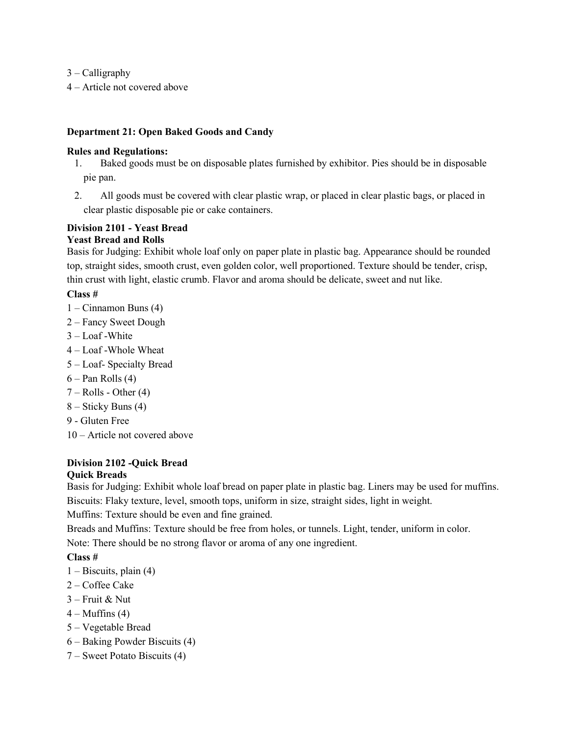3 – Calligraphy

4 – Article not covered above

#### **Department 21: Open Baked Goods and Candy**

#### **Rules and Regulations:**

- 1. Baked goods must be on disposable plates furnished by exhibitor. Pies should be in disposable pie pan.
- 2. All goods must be covered with clear plastic wrap, or placed in clear plastic bags, or placed in clear plastic disposable pie or cake containers.

#### **Division 2101 - Yeast Bread Yeast Bread and Rolls**

Basis for Judging: Exhibit whole loaf only on paper plate in plastic bag. Appearance should be rounded top, straight sides, smooth crust, even golden color, well proportioned. Texture should be tender, crisp, thin crust with light, elastic crumb. Flavor and aroma should be delicate, sweet and nut like.

#### **Class #**

- 1 Cinnamon Buns (4)
- 2 Fancy Sweet Dough
- 3 Loaf -White
- 4 Loaf -Whole Wheat
- 5 Loaf- Specialty Bread
- $6 -$ Pan Rolls  $(4)$
- $7 -$  Rolls Other  $(4)$
- 8 Sticky Buns (4)
- 9 Gluten Free
- 10 Article not covered above

# **Division 2102 -Quick Bread**

#### **Quick Breads**

Basis for Judging: Exhibit whole loaf bread on paper plate in plastic bag. Liners may be used for muffins. Biscuits: Flaky texture, level, smooth tops, uniform in size, straight sides, light in weight.

Muffins: Texture should be even and fine grained.

Breads and Muffins: Texture should be free from holes, or tunnels. Light, tender, uniform in color. Note: There should be no strong flavor or aroma of any one ingredient.

- 1 Biscuits, plain (4)
- 2 Coffee Cake
- 3 Fruit & Nut
- $4 \text{Muffins} (4)$
- 5 Vegetable Bread
- 6 Baking Powder Biscuits (4)
- 7 Sweet Potato Biscuits (4)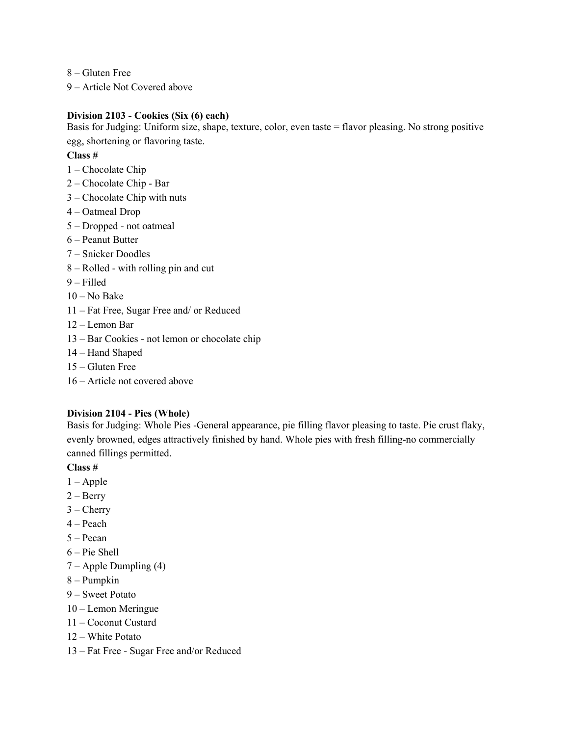8 – Gluten Free

9 – Article Not Covered above

#### **Division 2103 - Cookies (Six (6) each)**

Basis for Judging: Uniform size, shape, texture, color, even taste = flavor pleasing. No strong positive egg, shortening or flavoring taste.

#### **Class #**

- 1 Chocolate Chip
- 2 Chocolate Chip Bar
- 3 Chocolate Chip with nuts
- 4 Oatmeal Drop
- 5 Dropped not oatmeal
- 6 Peanut Butter
- 7 Snicker Doodles
- 8 Rolled with rolling pin and cut
- 9 Filled
- $10 No$  Bake
- 11 Fat Free, Sugar Free and/ or Reduced
- 12 Lemon Bar
- 13 Bar Cookies not lemon or chocolate chip
- 14 Hand Shaped
- 15 Gluten Free
- 16 Article not covered above

#### **Division 2104 - Pies (Whole)**

Basis for Judging: Whole Pies -General appearance, pie filling flavor pleasing to taste. Pie crust flaky, evenly browned, edges attractively finished by hand. Whole pies with fresh filling-no commercially canned fillings permitted.

- $1 \text{Apple}$
- $2 Berry$
- $3 -$ Cherry
- $4 Peach$
- 5 Pecan
- 6 Pie Shell
- 7 Apple Dumpling (4)
- 8 Pumpkin
- 9 Sweet Potato
- 10 Lemon Meringue
- 11 Coconut Custard
- 12 White Potato
- 13 Fat Free Sugar Free and/or Reduced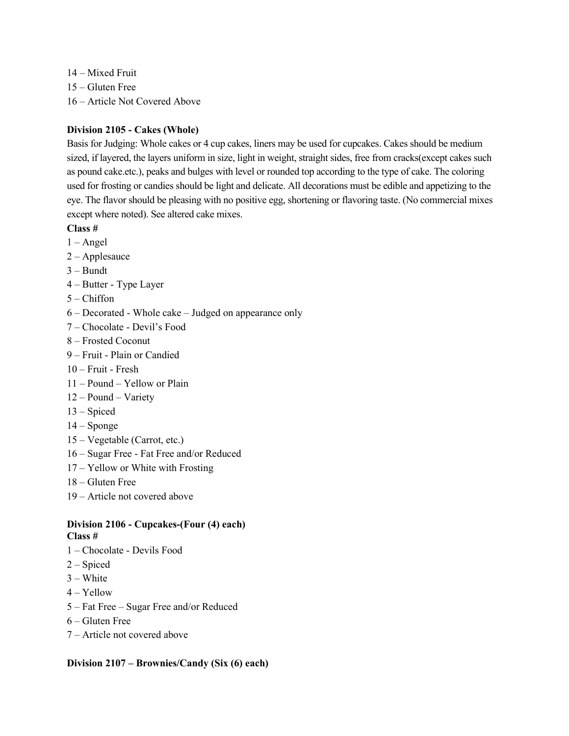14 – Mixed Fruit 15 – Gluten Free 16 – Article Not Covered Above

# **Division 2105 - Cakes (Whole)**

Basis for Judging: Whole cakes or 4 cup cakes, liners may be used for cupcakes. Cakes should be medium sized, if layered, the layers uniform in size, light in weight, straight sides, free from cracks(except cakes such as pound cake.etc.), peaks and bulges with level or rounded top according to the type of cake. The coloring used for frosting or candies should be light and delicate. All decorations must be edible and appetizing to the eye. The flavor should be pleasing with no positive egg, shortening or flavoring taste. (No commercial mixes except where noted). See altered cake mixes.

- **Class #**
- $1 -$ Angel
- 2 Applesauce
- 3 Bundt
- 4 Butter Type Layer
- $5 -$ Chiffon
- 6 Decorated Whole cake Judged on appearance only
- 7 Chocolate Devil's Food
- 8 Frosted Coconut
- 9 Fruit Plain or Candied
- 10 Fruit Fresh
- 11 Pound Yellow or Plain
- 12 Pound Variety
- 13 Spiced
- $14 -$ Sponge
- 15 Vegetable (Carrot, etc.)
- 16 Sugar Free Fat Free and/or Reduced
- 17 Yellow or White with Frosting
- 18 Gluten Free
- 19 Article not covered above

#### **Division 2106 - Cupcakes-(Four (4) each) Class #**

- 1 Chocolate Devils Food
- 2 Spiced
- 3 White
- 4 Yellow
- 5 Fat Free Sugar Free and/or Reduced
- 6 Gluten Free
- 7 Article not covered above

#### **Division 2107 – Brownies/Candy (Six (6) each)**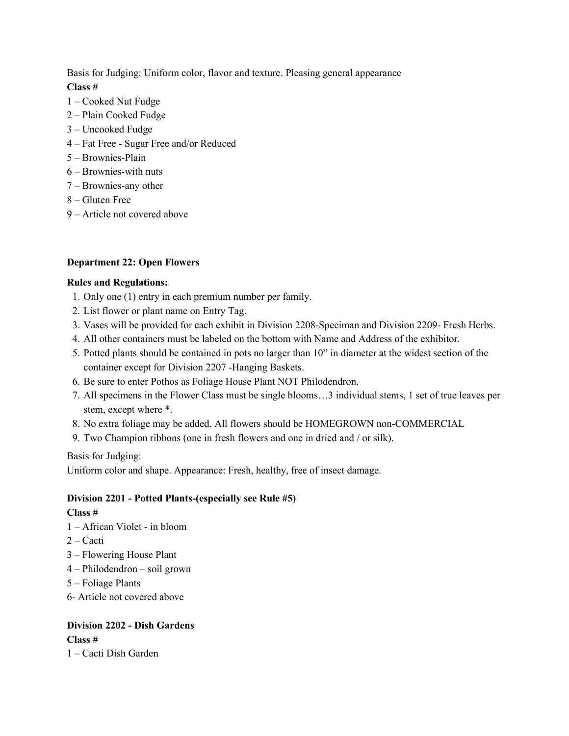Basis for Judging: Uniform color, flavor and texture. Pleasing general appearance **Class #**

- 1 Cooked Nut Fudge
- 2 Plain Cooked Fudge
- 3 Uncooked Fudge
- 4 Fat Free Sugar Free and/or Reduced
- 5 Brownies-Plain
- 6 Brownies-with nuts
- 7 Brownies-any other
- 8 Gluten Free
- 9 Article not covered above

#### **Department 22: Open Flowers**

#### **Rules and Regulations:**

- 1. Only one (1) entry in each premium number per family.
- 2. List flower or plant name on Entry Tag.
- 3. Vases will be provided for each exhibit in Division 2208-Speciman and Division 2209- Fresh Herbs.
- 4. All other containers must be labeled on the bottom with Name and Address of the exhibitor.
- 5. Potted plants should be contained in pots no larger than 10" in diameter at the widest section of the container except for Division 2207 -Hanging Baskets.
- 6. Be sure to enter Pothos as Foliage House Plant NOT Philodendron.
- 7. All specimens in the Flower Class must be single blooms…3 individual stems, 1 set of true leaves per stem, except where \*.
- 8. No extra foliage may be added. All flowers should be HOMEGROWN non-COMMERCIAL
- 9. Two Champion ribbons (one in fresh flowers and one in dried and / or silk).

Basis for Judging:

Uniform color and shape. Appearance: Fresh, healthy, free of insect damage.

#### **Division 2201 - Potted Plants-(especially see Rule #5)**

#### **Class #**

- 1 African Violet in bloom
- 2 Cacti
- 3 Flowering House Plant
- 4 Philodendron soil grown
- 5 Foliage Plants
- 6- Article not covered above

# **Division 2202 - Dish Gardens Class #**

1 – Cacti Dish Garden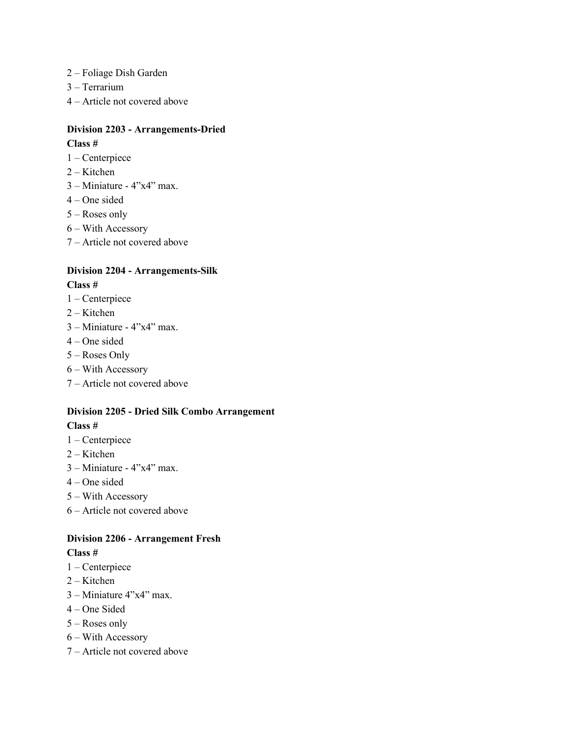- 2 Foliage Dish Garden
- 3 Terrarium
- 4 Article not covered above

#### **Division 2203 - Arrangements-Dried**

#### **Class #**

- 1 Centerpiece
- 2 Kitchen
- $3 -$ Miniature  $4$ "x $4$ " max.
- 4 One sided
- 5 Roses only
- 6 With Accessory
- 7 Article not covered above

# **Division 2204 - Arrangements-Silk**

#### **Class #**

- 1 Centerpiece
- 2 Kitchen
- $3 -$ Miniature  $4"x4"$  max.
- 4 One sided
- 5 Roses Only
- 6 With Accessory
- 7 Article not covered above

### **Division 2205 - Dried Silk Combo Arrangement Class #**

- 1 Centerpiece
- 2 Kitchen
- $3 -$ Miniature  $4"x4"$  max.
- 4 One sided
- 5 With Accessory
- 6 Article not covered above

# **Division 2206 - Arrangement Fresh**

- 1 Centerpiece
- 2 Kitchen
- 3 Miniature 4"x4" max.
- 4 One Sided
- 5 Roses only
- 6 With Accessory
- 7 Article not covered above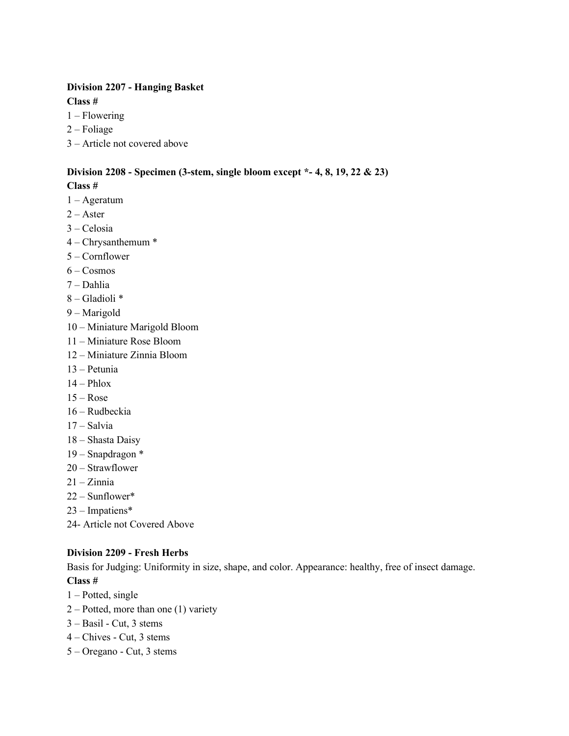# **Division 2207 - Hanging Basket**

**Class #**

- 1 Flowering
- 2 Foliage
- 3 Article not covered above

# **Division 2208 - Specimen (3-stem, single bloom except \*- 4, 8, 19, 22 & 23)**

### **Class #**

- 1 Ageratum
- $2 -$ Aster
- 3 Celosia
- 4 Chrysanthemum \*
- 5 Cornflower
- $6 \text{Cosmos}$
- 7 Dahlia
- 8 Gladioli \*
- 9 Marigold
- 10 Miniature Marigold Bloom
- 11 Miniature Rose Bloom
- 12 Miniature Zinnia Bloom
- 13 Petunia
- $14 Phlox$
- $15 Rose$
- 16 Rudbeckia
- 17 Salvia
- 18 Shasta Daisy
- 19 Snapdragon \*
- 20 Strawflower
- $21 Zinnia$
- 22 Sunflower\*
- 23 Impatiens\*
- 24- Article not Covered Above

#### **Division 2209 - Fresh Herbs**

Basis for Judging: Uniformity in size, shape, and color. Appearance: healthy, free of insect damage. **Class #**

- 1 Potted, single
- 2 Potted, more than one (1) variety
- 3 Basil Cut, 3 stems
- 4 Chives Cut, 3 stems
- 5 Oregano Cut, 3 stems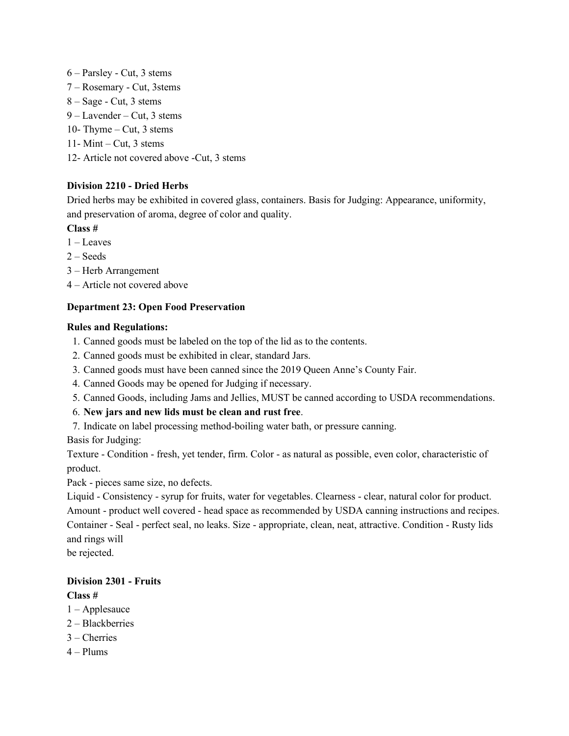- 6 Parsley Cut, 3 stems 7 – Rosemary - Cut, 3stems 8 – Sage - Cut, 3 stems
- 9 Lavender Cut, 3 stems
- 10- Thyme Cut, 3 stems
- 11- Mint Cut, 3 stems
- 12- Article not covered above -Cut, 3 stems

# **Division 2210 - Dried Herbs**

Dried herbs may be exhibited in covered glass, containers. Basis for Judging: Appearance, uniformity, and preservation of aroma, degree of color and quality.

**Class #**

- 1 Leaves
- $2 S$ eeds
- 3 Herb Arrangement
- 4 Article not covered above

# **Department 23: Open Food Preservation**

#### **Rules and Regulations:**

- 1. Canned goods must be labeled on the top of the lid as to the contents.
- 2. Canned goods must be exhibited in clear, standard Jars.
- 3. Canned goods must have been canned since the 2019 Queen Anne's County Fair.
- 4. Canned Goods may be opened for Judging if necessary.
- 5. Canned Goods, including Jams and Jellies, MUST be canned according to USDA recommendations.
- 6. **New jars and new lids must be clean and rust free**.
- 7. Indicate on label processing method-boiling water bath, or pressure canning.

Basis for Judging:

Texture - Condition - fresh, yet tender, firm. Color - as natural as possible, even color, characteristic of product.

Pack - pieces same size, no defects.

Liquid - Consistency - syrup for fruits, water for vegetables. Clearness - clear, natural color for product. Amount - product well covered - head space as recommended by USDA canning instructions and recipes. Container - Seal - perfect seal, no leaks. Size - appropriate, clean, neat, attractive. Condition - Rusty lids and rings will

be rejected.

# **Division 2301 - Fruits**

- 1 Applesauce
- 2 Blackberries
- 3 Cherries
- $4 -$ Plums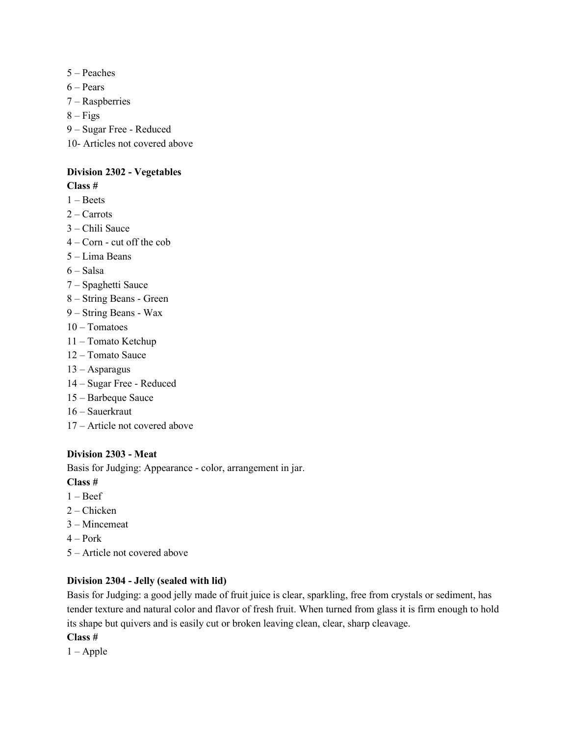- 5 Peaches
- $6 Pears$
- 7 Raspberries
- $8 Figs$
- 9 Sugar Free Reduced
- 10- Articles not covered above

#### **Division 2302 - Vegetables**

#### **Class #**

- 1 Beets
- 2 Carrots
- 3 Chili Sauce
- 4 Corn cut off the cob
- 5 Lima Beans
- 6 Salsa
- 7 Spaghetti Sauce
- 8 String Beans Green
- 9 String Beans Wax
- 10 Tomatoes
- 11 Tomato Ketchup
- 12 Tomato Sauce
- 13 Asparagus
- 14 Sugar Free Reduced
- 15 Barbeque Sauce
- 16 Sauerkraut
- 17 Article not covered above

#### **Division 2303 - Meat**

Basis for Judging: Appearance - color, arrangement in jar.

**Class #**

- 1 Beef
- 2 Chicken
- 3 Mincemeat
- $4 -$ Pork
- 5 Article not covered above

#### **Division 2304 - Jelly (sealed with lid)**

Basis for Judging: a good jelly made of fruit juice is clear, sparkling, free from crystals or sediment, has tender texture and natural color and flavor of fresh fruit. When turned from glass it is firm enough to hold its shape but quivers and is easily cut or broken leaving clean, clear, sharp cleavage.

#### **Class #**

 $1 - \text{Apple}$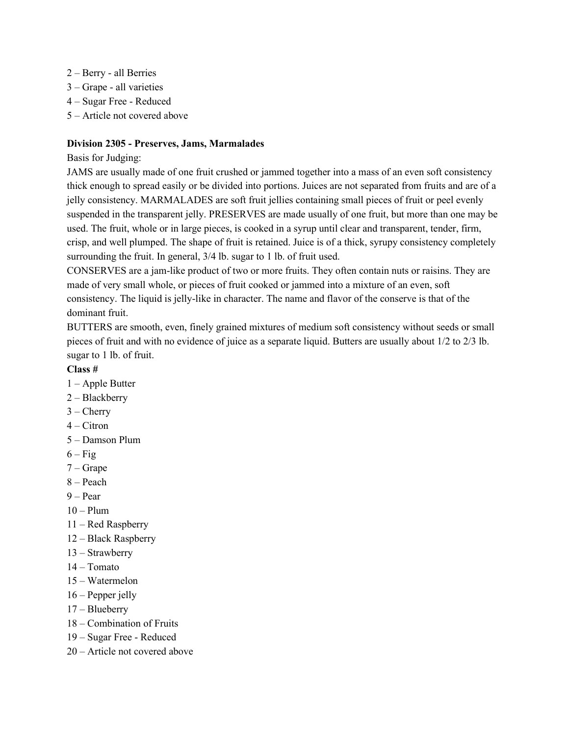- 2 Berry all Berries
- 3 Grape all varieties
- 4 Sugar Free Reduced
- 5 Article not covered above

#### **Division 2305 - Preserves, Jams, Marmalades**

#### Basis for Judging:

JAMS are usually made of one fruit crushed or jammed together into a mass of an even soft consistency thick enough to spread easily or be divided into portions. Juices are not separated from fruits and are of a jelly consistency. MARMALADES are soft fruit jellies containing small pieces of fruit or peel evenly suspended in the transparent jelly. PRESERVES are made usually of one fruit, but more than one may be used. The fruit, whole or in large pieces, is cooked in a syrup until clear and transparent, tender, firm, crisp, and well plumped. The shape of fruit is retained. Juice is of a thick, syrupy consistency completely surrounding the fruit. In general, 3/4 lb. sugar to 1 lb. of fruit used.

CONSERVES are a jam-like product of two or more fruits. They often contain nuts or raisins. They are made of very small whole, or pieces of fruit cooked or jammed into a mixture of an even, soft consistency. The liquid is jelly-like in character. The name and flavor of the conserve is that of the dominant fruit.

BUTTERS are smooth, even, finely grained mixtures of medium soft consistency without seeds or small pieces of fruit and with no evidence of juice as a separate liquid. Butters are usually about 1/2 to 2/3 lb. sugar to 1 lb. of fruit.

- 1 Apple Butter
- 2 Blackberry
- $3$  Cherry
- $4 Citron$
- 5 Damson Plum
- $6 Fig$
- 7 Grape
- 8 Peach
- 9 Pear
- $10 -$ Plum
- 11 Red Raspberry
- 12 Black Raspberry
- 13 Strawberry
- 14 Tomato
- 15 Watermelon
- 16 Pepper jelly
- 17 Blueberry
- 18 Combination of Fruits
- 19 Sugar Free Reduced
- 20 Article not covered above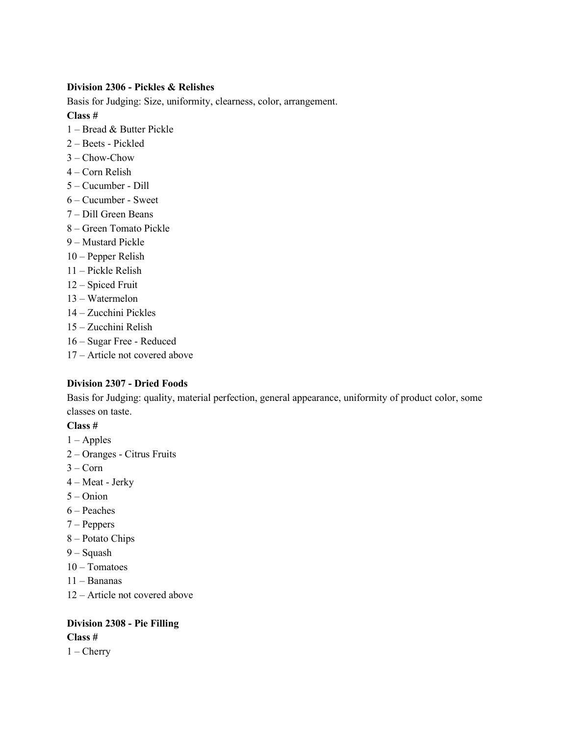#### **Division 2306 - Pickles & Relishes**

Basis for Judging: Size, uniformity, clearness, color, arrangement.

**Class #**

- 1 Bread & Butter Pickle
- 2 Beets Pickled
- 3 Chow-Chow
- 4 Corn Relish
- 5 Cucumber Dill
- 6 Cucumber Sweet
- 7 Dill Green Beans
- 8 Green Tomato Pickle
- 9 Mustard Pickle
- 10 Pepper Relish
- 11 Pickle Relish
- 12 Spiced Fruit
- 13 Watermelon
- 14 Zucchini Pickles
- 15 Zucchini Relish
- 16 Sugar Free Reduced
- 17 Article not covered above

#### **Division 2307 - Dried Foods**

Basis for Judging: quality, material perfection, general appearance, uniformity of product color, some classes on taste.

# **Class #**

- $1 -$ Apples
- 2 Oranges Citrus Fruits
- $3 Corn$
- 4 Meat Jerky
- 5 Onion
- 6 Peaches
- 7 Peppers
- 8 Potato Chips
- 9 Squash
- 10 Tomatoes
- 11 Bananas
- 12 Article not covered above

# **Division 2308 - Pie Filling Class #**

 $1 -$ Cherry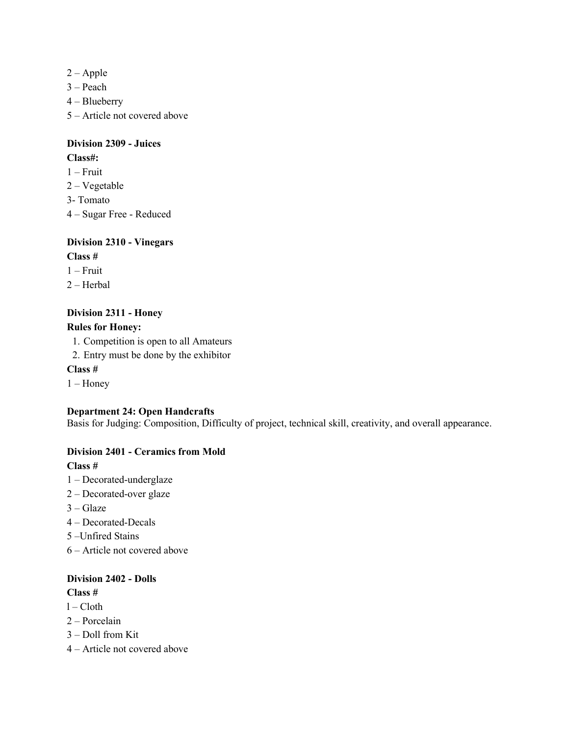- 2 Apple
- 3 Peach
- 4 Blueberry
- 5 Article not covered above

#### **Division 2309 - Juices Class#:**

- 1 Fruit
- 2 Vegetable
- 3- Tomato
- 4 Sugar Free Reduced

# **Division 2310 - Vinegars**

- **Class #**
- $1 -$ Fruit
- 2 Herbal

# **Division 2311 - Honey**

# **Rules for Honey:**

- 1. Competition is open to all Amateurs
- 2. Entry must be done by the exhibitor

#### **Class #**

 $1 -$ Honey

#### **Department 24: Open Handcrafts**

Basis for Judging: Composition, Difficulty of project, technical skill, creativity, and overall appearance.

#### **Division 2401 - Ceramics from Mold**

#### **Class #**

- 1 Decorated-underglaze
- 2 Decorated-over glaze
- $3 -$ Glaze
- 4 Decorated-Decals
- 5 –Unfired Stains
- 6 Article not covered above

#### **Division 2402 - Dolls**

- $l Cloth$
- 2 Porcelain
- 3 Doll from Kit
- 4 Article not covered above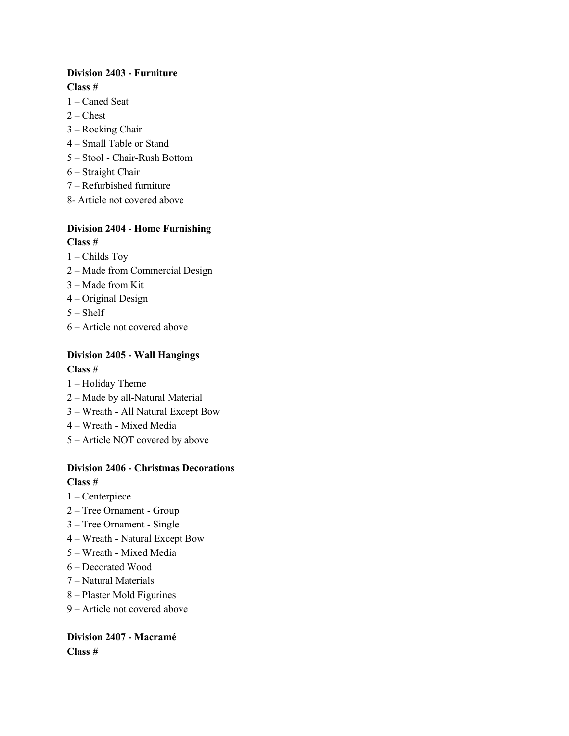# **Division 2403 - Furniture Class #**

- 1 Caned Seat
- $2$  Chest
- 3 Rocking Chair
- 4 Small Table or Stand
- 5 Stool Chair-Rush Bottom
- 6 Straight Chair
- 7 Refurbished furniture
- 8- Article not covered above

# **Division 2404 - Home Furnishing Class #**

- 1 Childs Toy
- 2 Made from Commercial Design
- 3 Made from Kit
- 4 Original Design
- $5 SheIf$
- 6 Article not covered above

# **Division 2405 - Wall Hangings Class #**

- 1 Holiday Theme
- 2 Made by all-Natural Material
- 3 Wreath All Natural Except Bow
- 4 Wreath Mixed Media
- 5 Article NOT covered by above

# **Division 2406 - Christmas Decorations**

#### **Class #**

- 1 Centerpiece
- 2 Tree Ornament Group
- 3 Tree Ornament Single
- 4 Wreath Natural Except Bow
- 5 Wreath Mixed Media
- 6 Decorated Wood
- 7 Natural Materials
- 8 Plaster Mold Figurines
- 9 Article not covered above

#### **Division 2407 - Macramé Class #**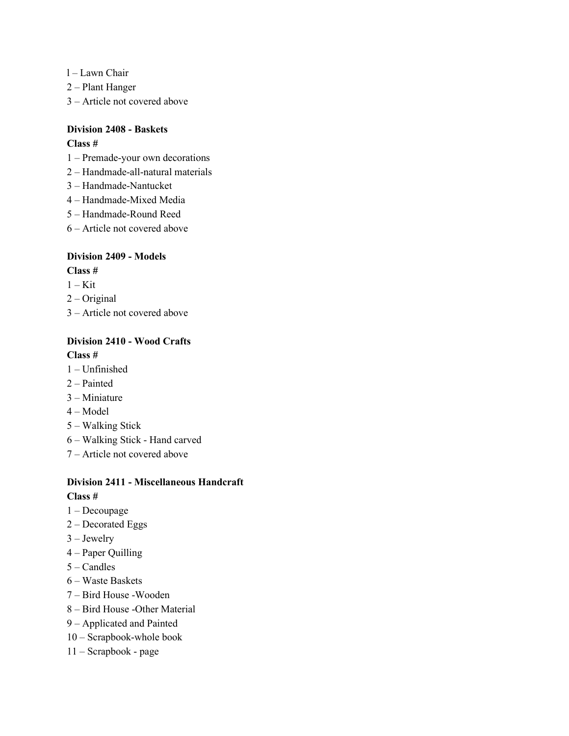- l Lawn Chair
- 2 Plant Hanger
- 3 Article not covered above

# **Division 2408 - Baskets**

#### **Class #**

- 1 Premade-your own decorations
- 2 Handmade-all-natural materials
- 3 Handmade-Nantucket
- 4 Handmade-Mixed Media
- 5 Handmade-Round Reed
- 6 Article not covered above

#### **Division 2409 - Models**

**Class #**

- $1 -$ Kit
- 2 Original
- 3 Article not covered above

#### **Division 2410 - Wood Crafts**

#### **Class #**

- 1 Unfinished
- 2 Painted
- 3 Miniature
- 4 Model
- 5 Walking Stick
- 6 Walking Stick Hand carved
- 7 Article not covered above

#### **Division 2411 - Miscellaneous Handcraft Class #**

- 1 Decoupage
- 2 Decorated Eggs
- 3 Jewelry
- 4 Paper Quilling
- 5 Candles
- 6 Waste Baskets
- 7 Bird House -Wooden
- 8 Bird House -Other Material
- 9 Applicated and Painted
- 10 Scrapbook-whole book
- 11 Scrapbook page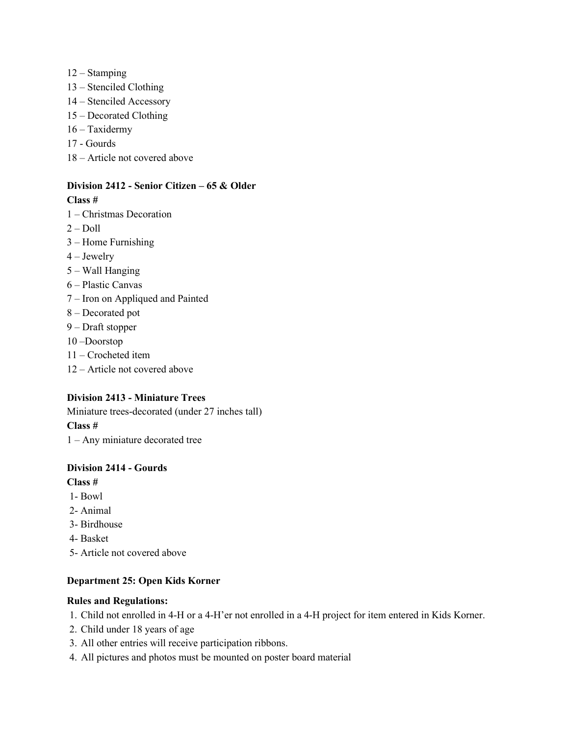- 12 Stamping
- 13 Stenciled Clothing
- 14 Stenciled Accessory
- 15 Decorated Clothing
- 16 Taxidermy
- 17 Gourds
- 18 Article not covered above

#### **Division 2412 - Senior Citizen – 65 & Older Class #**

- 1 Christmas Decoration
- $2 -$ Doll
- 3 Home Furnishing
- 4 Jewelry
- 5 Wall Hanging
- 6 Plastic Canvas
- 7 Iron on Appliqued and Painted
- 8 Decorated pot
- 9 Draft stopper
- 10 –Doorstop
- 11 Crocheted item
- 12 Article not covered above

#### **Division 2413 - Miniature Trees**

Miniature trees-decorated (under 27 inches tall) **Class #** 1 – Any miniature decorated tree

#### **Division 2414 - Gourds**

#### **Class #**

- 1- Bowl
- 2- Animal
- 3- Birdhouse
- 4- Basket
- 5- Article not covered above

#### **Department 25: Open Kids Korner**

#### **Rules and Regulations:**

- 1. Child not enrolled in 4-H or a 4-H'er not enrolled in a 4-H project for item entered in Kids Korner.
- 2. Child under 18 years of age
- 3. All other entries will receive participation ribbons.
- 4. All pictures and photos must be mounted on poster board material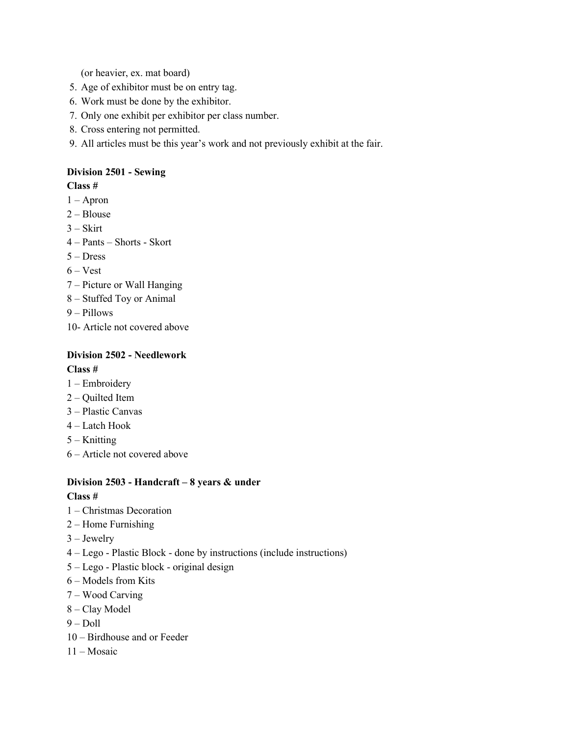(or heavier, ex. mat board)

- 5. Age of exhibitor must be on entry tag.
- 6. Work must be done by the exhibitor.
- 7. Only one exhibit per exhibitor per class number.
- 8. Cross entering not permitted.
- 9. All articles must be this year's work and not previously exhibit at the fair.

# **Division 2501 - Sewing**

# **Class #**

- 1 Apron
- 2 Blouse
- $3 Skirt$
- 4 Pants Shorts Skort
- 5 Dress
- $6 Vest$
- 7 Picture or Wall Hanging
- 8 Stuffed Toy or Animal
- 9 Pillows
- 10- Article not covered above

# **Division 2502 - Needlework Class #**

- 1 Embroidery
- 2 Quilted Item
- 3 Plastic Canvas
- 4 Latch Hook
- 5 Knitting
- 6 Article not covered above

# **Division 2503 - Handcraft – 8 years & under**

- 1 Christmas Decoration
- 2 Home Furnishing
- 3 Jewelry
- 4 Lego Plastic Block done by instructions (include instructions)
- 5 Lego Plastic block original design
- 6 Models from Kits
- 7 Wood Carving
- 8 Clay Model
- $9 -$ Doll
- 10 Birdhouse and or Feeder
- 11 Mosaic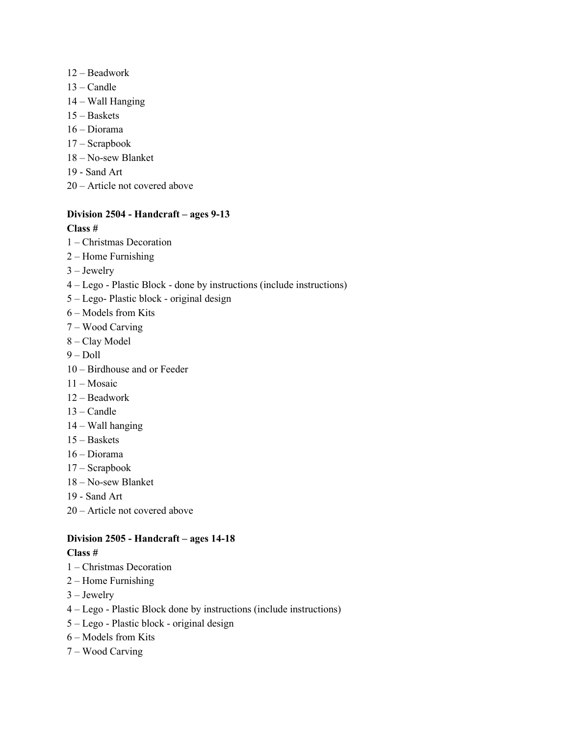- 12 Beadwork
- 13 Candle
- 14 Wall Hanging
- 15 Baskets
- 16 Diorama
- 17 Scrapbook
- 18 No-sew Blanket
- 19 Sand Art
- 20 Article not covered above

# **Division 2504 - Handcraft – ages 9-13**

#### **Class #**

- 1 Christmas Decoration
- 2 Home Furnishing
- 3 Jewelry
- 4 Lego Plastic Block done by instructions (include instructions)
- 5 Lego- Plastic block original design
- 6 Models from Kits
- 7 Wood Carving
- 8 Clay Model
- 9 Doll
- 10 Birdhouse and or Feeder
- 11 Mosaic
- 12 Beadwork
- 13 Candle
- 14 Wall hanging
- 15 Baskets
- 16 Diorama
- 17 Scrapbook
- 18 No-sew Blanket
- 19 Sand Art
- 20 Article not covered above

# **Division 2505 - Handcraft – ages 14-18**

- 1 Christmas Decoration
- 2 Home Furnishing
- 3 Jewelry
- 4 Lego Plastic Block done by instructions (include instructions)
- 5 Lego Plastic block original design
- 6 Models from Kits
- 7 Wood Carving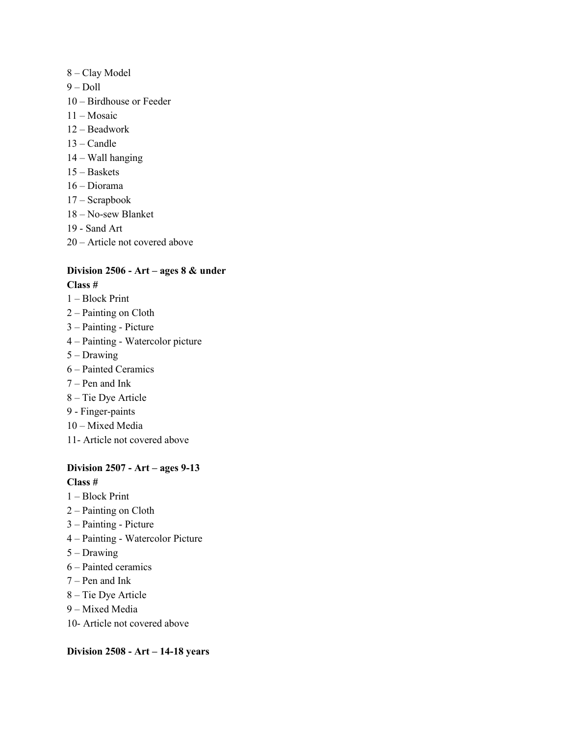- 8 Clay Model
- 9 Doll
- 10 Birdhouse or Feeder
- 11 Mosaic
- 12 Beadwork
- 13 Candle
- 14 Wall hanging
- 15 Baskets
- 16 Diorama
- 17 Scrapbook
- 18 No-sew Blanket
- 19 Sand Art
- 20 Article not covered above

# **Division 2506 - Art – ages 8 & under**

#### **Class #**

- 1 Block Print
- 2 Painting on Cloth
- 3 Painting Picture
- 4 Painting Watercolor picture
- 5 Drawing
- 6 Painted Ceramics
- 7 Pen and Ink
- 8 Tie Dye Article
- 9 Finger-paints
- 10 Mixed Media
- 11- Article not covered above

#### **Division 2507 - Art – ages 9-13**

#### **Class #**

- 1 Block Print
- 2 Painting on Cloth
- 3 Painting Picture
- 4 Painting Watercolor Picture
- 5 Drawing
- 6 Painted ceramics
- 7 Pen and Ink
- 8 Tie Dye Article
- 9 Mixed Media
- 10- Article not covered above

#### **Division 2508 - Art – 14-18 years**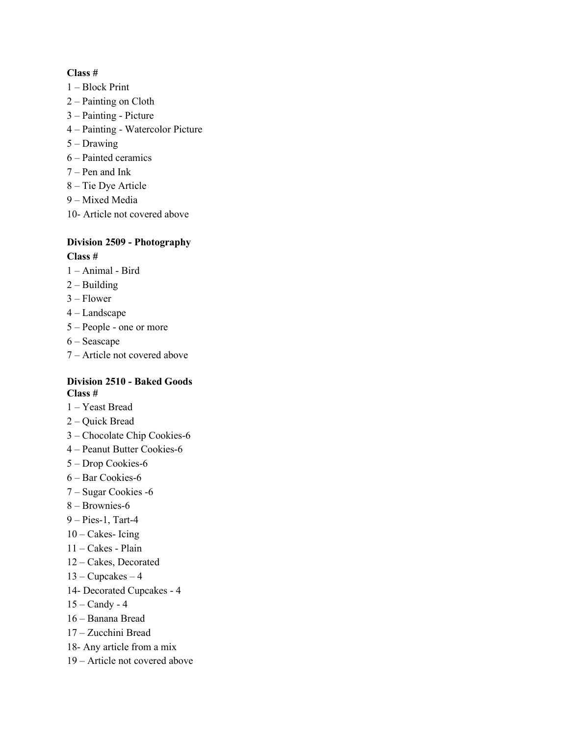#### **Class #**

- 1 Block Print
- 2 Painting on Cloth
- 3 Painting Picture
- 4 Painting Watercolor Picture
- 5 Drawing
- 6 Painted ceramics
- 7 Pen and Ink
- 8 Tie Dye Article
- 9 Mixed Media
- 10- Article not covered above

## **Division 2509 - Photography Class #**

- 1 Animal Bird
- $2 -$ Building
- 3 Flower
- 4 Landscape
- 5 People one or more
- 6 Seascape
- 7 Article not covered above

#### **Division 2510 - Baked Goods Class #**

- 1 Yeast Bread
- 2 Quick Bread
- 3 Chocolate Chip Cookies-6
- 4 Peanut Butter Cookies-6
- 5 Drop Cookies-6
- 6 Bar Cookies-6
- 7 Sugar Cookies -6
- 8 Brownies-6
- 9 Pies-1, Tart-4
- $10$  Cakes- Icing
- 11 Cakes Plain
- 12 Cakes, Decorated
- $13 Cupcakes 4$
- 14- Decorated Cupcakes 4
- 15 Candy 4
- 16 Banana Bread
- 17 Zucchini Bread
- 18- Any article from a mix
- 19 Article not covered above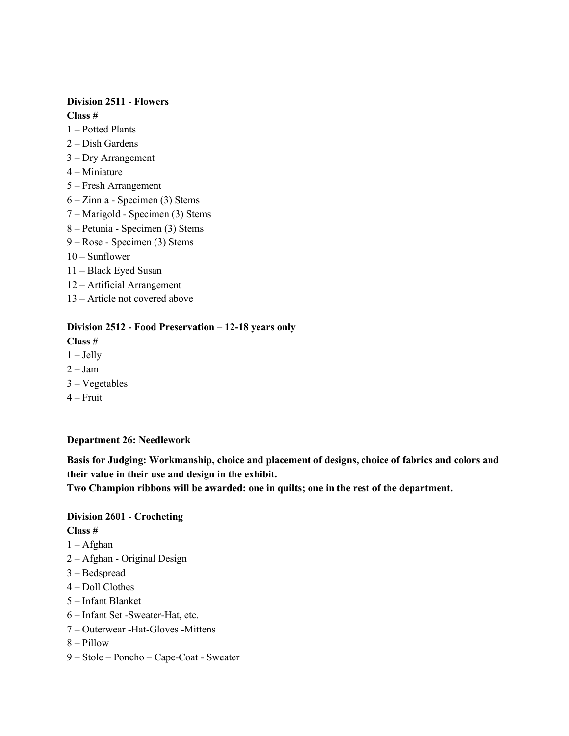#### **Division 2511 - Flowers**

**Class #**

- 1 Potted Plants
- 2 Dish Gardens
- 3 Dry Arrangement
- 4 Miniature
- 5 Fresh Arrangement
- 6 Zinnia Specimen (3) Stems
- 7 Marigold Specimen (3) Stems
- 8 Petunia Specimen (3) Stems
- 9 Rose Specimen (3) Stems
- 10 Sunflower
- 11 Black Eyed Susan
- 12 Artificial Arrangement
- 13 Article not covered above

#### **Division 2512 - Food Preservation – 12-18 years only**

#### **Class #**

- $1 -$  Jelly
- $2 Jam$
- 3 Vegetables
- $4 -$  Fruit

#### **Department 26: Needlework**

**Basis for Judging: Workmanship, choice and placement of designs, choice of fabrics and colors and their value in their use and design in the exhibit.** 

**Two Champion ribbons will be awarded: one in quilts; one in the rest of the department.** 

#### **Division 2601 - Crocheting**

- 1 Afghan
- 2 Afghan Original Design
- 3 Bedspread
- 4 Doll Clothes
- 5 Infant Blanket
- 6 Infant Set -Sweater-Hat, etc.
- 7 Outerwear -Hat-Gloves -Mittens
- 8 Pillow
- 9 Stole Poncho Cape-Coat Sweater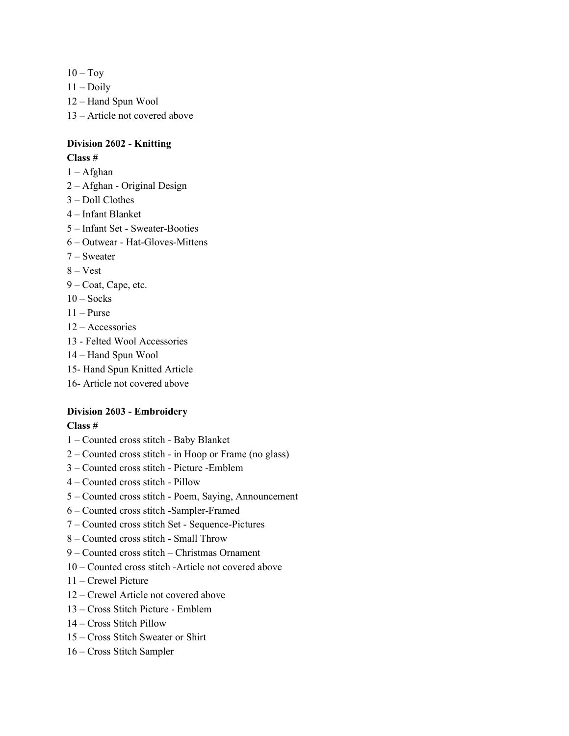- $10 Toy$
- $11 -$ Doily
- 12 Hand Spun Wool
- 13 Article not covered above

## **Division 2602 - Knitting**

#### **Class #**

- 1 Afghan
- 2 Afghan Original Design
- 3 Doll Clothes
- 4 Infant Blanket
- 5 Infant Set Sweater-Booties
- 6 Outwear Hat-Gloves-Mittens
- 7 Sweater
- 8 Vest
- 9 Coat, Cape, etc.
- $10 Socks$
- $11 P$ urse
- 12 Accessories
- 13 Felted Wool Accessories
- 14 Hand Spun Wool
- 15- Hand Spun Knitted Article
- 16- Article not covered above

# **Division 2603 - Embroidery**

- 1 Counted cross stitch Baby Blanket
- 2 Counted cross stitch in Hoop or Frame (no glass)
- 3 Counted cross stitch Picture -Emblem
- 4 Counted cross stitch Pillow
- 5 Counted cross stitch Poem, Saying, Announcement
- 6 Counted cross stitch -Sampler-Framed
- 7 Counted cross stitch Set Sequence-Pictures
- 8 Counted cross stitch Small Throw
- 9 Counted cross stitch Christmas Ornament
- 10 Counted cross stitch -Article not covered above
- 11 Crewel Picture
- 12 Crewel Article not covered above
- 13 Cross Stitch Picture Emblem
- 14 Cross Stitch Pillow
- 15 Cross Stitch Sweater or Shirt
- 16 Cross Stitch Sampler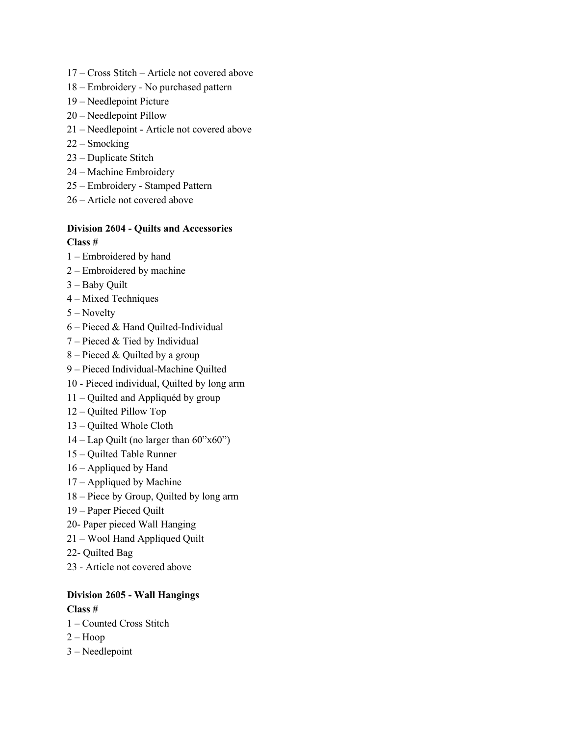- 17 Cross Stitch Article not covered above
- 18 Embroidery No purchased pattern
- 19 Needlepoint Picture
- 20 Needlepoint Pillow
- 21 Needlepoint Article not covered above
- 22 Smocking
- 23 Duplicate Stitch
- 24 Machine Embroidery
- 25 Embroidery Stamped Pattern
- 26 Article not covered above

# **Division 2604 - Quilts and Accessories**

- **Class #**
- 1 Embroidered by hand
- 2 Embroidered by machine
- 3 Baby Quilt
- 4 Mixed Techniques
- 5 Novelty
- 6 Pieced & Hand Quilted-Individual
- 7 Pieced & Tied by Individual
- 8 Pieced & Quilted by a group
- 9 Pieced Individual-Machine Quilted
- 10 Pieced individual, Quilted by long arm
- 11 Quilted and Appliquéd by group
- 12 Quilted Pillow Top
- 13 Quilted Whole Cloth
- $14 \text{Lap}$  Quilt (no larger than  $60$ "x $60$ ")
- 15 Quilted Table Runner
- 16 Appliqued by Hand
- 17 Appliqued by Machine
- 18 Piece by Group, Quilted by long arm
- 19 Paper Pieced Quilt
- 20- Paper pieced Wall Hanging
- 21 Wool Hand Appliqued Quilt
- 22- Quilted Bag
- 23 Article not covered above

# **Division 2605 - Wall Hangings Class #**

- 1 Counted Cross Stitch
- $2 Hoop$
- 3 Needlepoint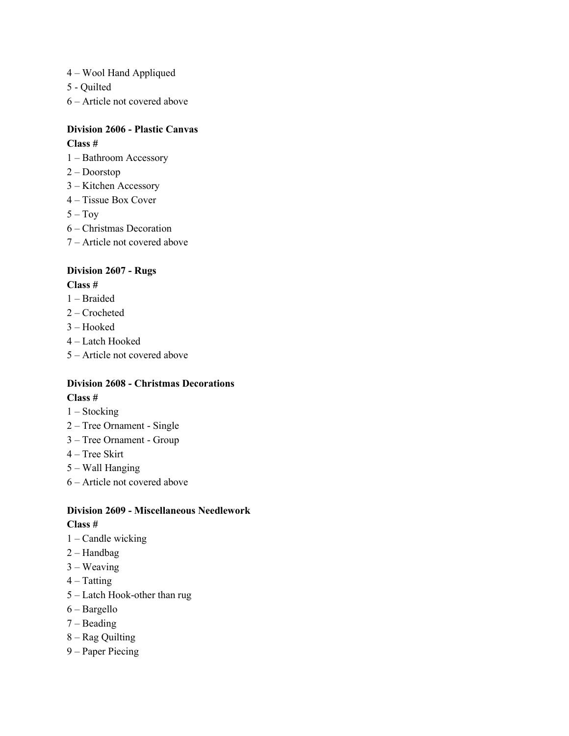- 4 Wool Hand Appliqued
- 5 Quilted
- 6 Article not covered above

# **Division 2606 - Plastic Canvas**

## **Class #**

- 1 Bathroom Accessory
- 2 Doorstop
- 3 Kitchen Accessory
- 4 Tissue Box Cover
- $5 Toy$
- 6 Christmas Decoration
- 7 Article not covered above

# **Division 2607 - Rugs**

#### **Class #**

- 1 Braided
- 2 Crocheted
- 3 Hooked
- 4 Latch Hooked
- 5 Article not covered above

# **Division 2608 - Christmas Decorations Class #**

- 1 Stocking
- 2 Tree Ornament Single
- 3 Tree Ornament Group
- 4 Tree Skirt
- 5 Wall Hanging
- 6 Article not covered above

# **Division 2609 - Miscellaneous Needlework**

- 1 Candle wicking
- 2 Handbag
- 3 Weaving
- $4 T$ atting
- 5 Latch Hook-other than rug
- 6 Bargello
- 7 Beading
- 8 Rag Quilting
- 9 Paper Piecing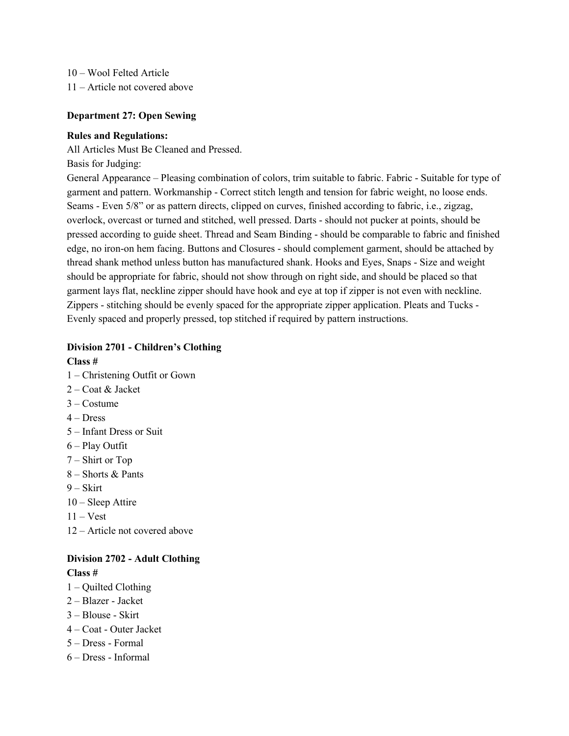10 – Wool Felted Article 11 – Article not covered above

#### **Department 27: Open Sewing**

#### **Rules and Regulations:**

All Articles Must Be Cleaned and Pressed.

Basis for Judging:

General Appearance – Pleasing combination of colors, trim suitable to fabric. Fabric - Suitable for type of garment and pattern. Workmanship - Correct stitch length and tension for fabric weight, no loose ends. Seams - Even 5/8" or as pattern directs, clipped on curves, finished according to fabric, i.e., zigzag, overlock, overcast or turned and stitched, well pressed. Darts - should not pucker at points, should be pressed according to guide sheet. Thread and Seam Binding - should be comparable to fabric and finished edge, no iron-on hem facing. Buttons and Closures - should complement garment, should be attached by thread shank method unless button has manufactured shank. Hooks and Eyes, Snaps - Size and weight should be appropriate for fabric, should not show through on right side, and should be placed so that garment lays flat, neckline zipper should have hook and eye at top if zipper is not even with neckline. Zippers - stitching should be evenly spaced for the appropriate zipper application. Pleats and Tucks - Evenly spaced and properly pressed, top stitched if required by pattern instructions.

#### **Division 2701 - Children's Clothing**

**Class #**

- 1 Christening Outfit or Gown
- 2 Coat & Jacket
- 3 Costume
- $4 Dress$
- 5 Infant Dress or Suit
- 6 Play Outfit
- 7 Shirt or Top
- 8 Shorts & Pants
- $9 Skirt$
- 10 Sleep Attire
- $11 Vest$
- 12 Article not covered above

#### **Division 2702 - Adult Clothing**

- 1 Quilted Clothing
- 2 Blazer Jacket
- 3 Blouse Skirt
- 4 Coat Outer Jacket
- 5 Dress Formal
- 6 Dress Informal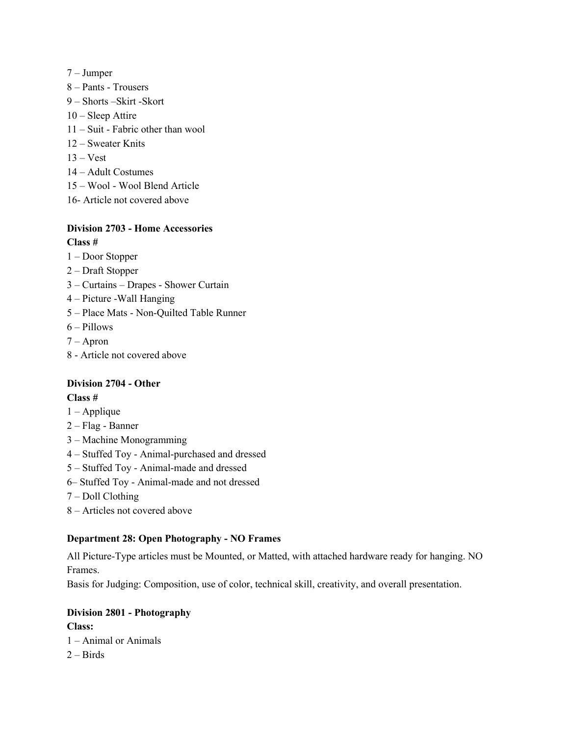- 7 Jumper
- 8 Pants Trousers
- 9 Shorts –Skirt -Skort
- 10 Sleep Attire
- 11 Suit Fabric other than wool
- 12 Sweater Knits
- 13 Vest
- 14 Adult Costumes
- 15 Wool Wool Blend Article
- 16- Article not covered above

#### **Division 2703 - Home Accessories Class #**

- 1 Door Stopper
- 2 Draft Stopper
- 
- 3 Curtains Drapes Shower Curtain
- 4 Picture -Wall Hanging
- 5 Place Mats Non-Quilted Table Runner
- 6 Pillows
- 7 Apron
- 8 Article not covered above

# **Division 2704 - Other**

# **Class #**

- 1 Applique
- 2 Flag Banner
- 3 Machine Monogramming
- 4 Stuffed Toy Animal-purchased and dressed
- 5 Stuffed Toy Animal-made and dressed
- 6– Stuffed Toy Animal-made and not dressed
- 7 Doll Clothing
- 8 Articles not covered above

#### **Department 28: Open Photography - NO Frames**

All Picture-Type articles must be Mounted, or Matted, with attached hardware ready for hanging. NO Frames.

Basis for Judging: Composition, use of color, technical skill, creativity, and overall presentation.

#### **Division 2801 - Photography**

**Class:**  1 – Animal or Animals  $2 - Birds$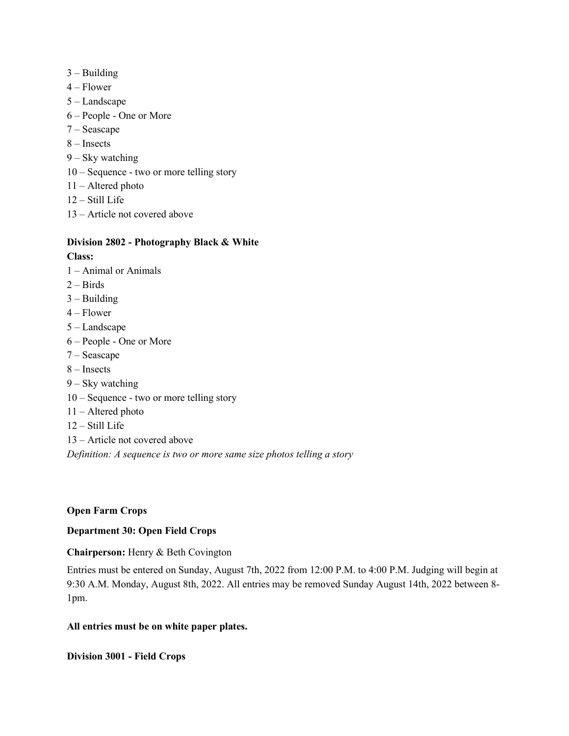- $3 -$ Building
- 4 Flower
- 5 Landscape
- 6 People One or More
- 7 Seascape
- 8 Insects
- 9 Sky watching
- 10 Sequence two or more telling story
- 11 Altered photo
- 12 Still Life
- 13 Article not covered above

# **Division 2802 - Photography Black & White**

#### **Class:**

- 1 Animal or Animals
- $2 Birds$
- $3 -$ Building
- 4 Flower
- 5 Landscape
- 6 People One or More
- 7 Seascape
- 8 Insects
- 9 Sky watching
- 10 Sequence two or more telling story
- 11 Altered photo
- 12 Still Life
- 13 Article not covered above

*Definition: A sequence is two or more same size photos telling a story*

#### **Open Farm Crops**

#### **Department 30: Open Field Crops**

#### **Chairperson:** Henry & Beth Covington

Entries must be entered on Sunday, August 7th, 2022 from 12:00 P.M. to 4:00 P.M. Judging will begin at 9:30 A.M. Monday, August 8th, 2022. All entries may be removed Sunday August 14th, 2022 between 8- 1pm.

#### **All entries must be on white paper plates.**

**Division 3001 - Field Crops**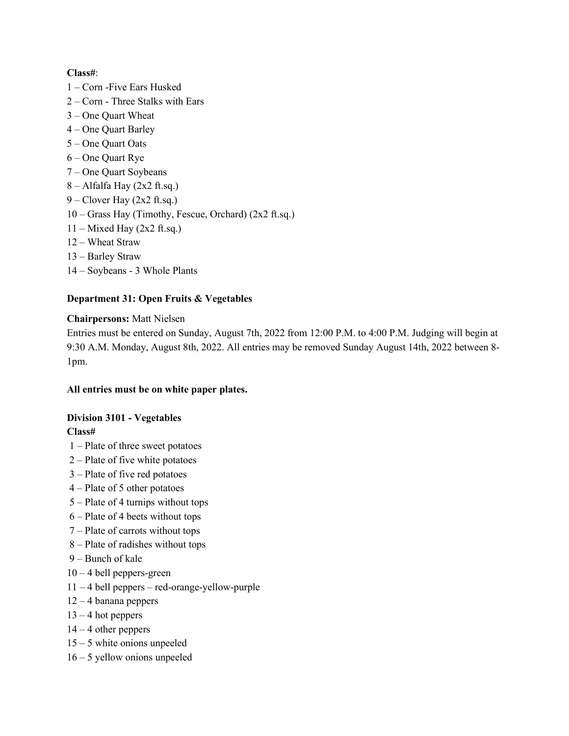# **Class#**:

- 1 Corn -Five Ears Husked
- 2 Corn Three Stalks with Ears
- 3 One Quart Wheat
- 4 One Quart Barley
- 5 One Quart Oats
- 6 One Quart Rye
- 7 One Quart Soybeans
- $8 -$ Alfalfa Hay (2x2 ft.sq.)
- $9 -$ Clover Hay (2x2 ft.sq.)
- 10 Grass Hay (Timothy, Fescue, Orchard) (2x2 ft.sq.)
- $11 -$  Mixed Hay (2x2 ft.sq.)
- 12 Wheat Straw
- 13 Barley Straw
- 14 Soybeans 3 Whole Plants

# **Department 31: Open Fruits & Vegetables**

#### **Chairpersons:** Matt Nielsen

Entries must be entered on Sunday, August 7th, 2022 from 12:00 P.M. to 4:00 P.M. Judging will begin at 9:30 A.M. Monday, August 8th, 2022. All entries may be removed Sunday August 14th, 2022 between 8- 1pm.

#### **All entries must be on white paper plates.**

#### **Division 3101 - Vegetables**

- 1 Plate of three sweet potatoes
- 2 Plate of five white potatoes
- 3 Plate of five red potatoes
- 4 Plate of 5 other potatoes
- 5 Plate of 4 turnips without tops
- 6 Plate of 4 beets without tops
- 7 Plate of carrots without tops
- 8 Plate of radishes without tops
- 9 Bunch of kale
- $10 4$  bell peppers-green
- 11 4 bell peppers red-orange-yellow-purple
- 12 4 banana peppers
- $13 4$  hot peppers
- $14 4$  other peppers
- 15 5 white onions unpeeled
- 16 5 yellow onions unpeeled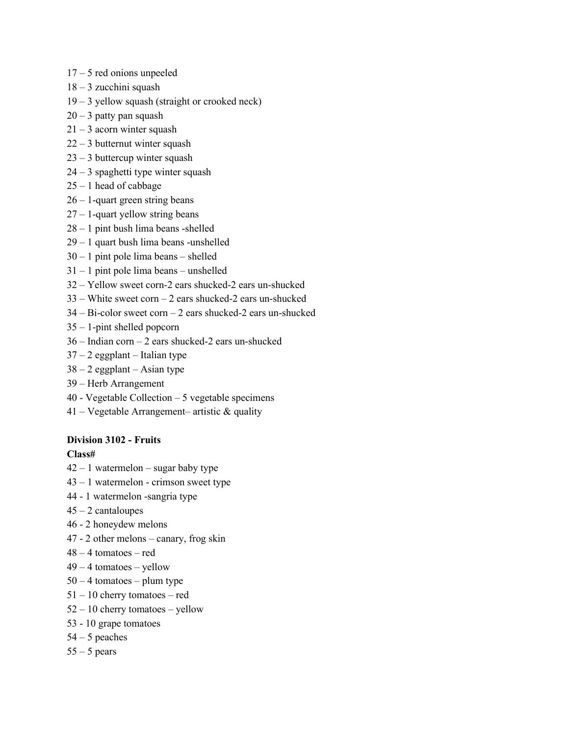- 17 5 red onions unpeeled
- 18 3 zucchini squash
- 19 3 yellow squash (straight or crooked neck)
- $20 3$  patty pan squash
- $21 3$  acorn winter squash
- 22 3 butternut winter squash
- 23 3 buttercup winter squash
- 24 3 spaghetti type winter squash
- $25 1$  head of cabbage
- $26 1$ -quart green string beans
- 27 1-quart yellow string beans
- 28 1 pint bush lima beans -shelled
- 29 1 quart bush lima beans -unshelled
- 30 1 pint pole lima beans shelled
- 31 1 pint pole lima beans unshelled
- 32 Yellow sweet corn-2 ears shucked-2 ears un-shucked
- 33 White sweet corn 2 ears shucked-2 ears un-shucked
- 34 Bi-color sweet corn 2 ears shucked-2 ears un-shucked
- 35 1-pint shelled popcorn
- 36 Indian corn 2 ears shucked-2 ears un-shucked
- $37 2$  eggplant Italian type
- $38 2$  eggplant Asian type
- 39 Herb Arrangement
- 40 Vegetable Collection 5 vegetable specimens
- 41 Vegetable Arrangement– artistic  $\&$  quality

#### **Division 3102 - Fruits**

- $42 1$  watermelon sugar baby type
- 43 1 watermelon crimson sweet type
- 44 1 watermelon -sangria type
- $45 2$  cantaloupes
- 46 2 honeydew melons
- 47 2 other melons canary, frog skin
- 48 4 tomatoes red
- $49 4$  tomatoes yellow
- $50 4$  tomatoes plum type
- 51 10 cherry tomatoes red
- 52 10 cherry tomatoes yellow
- 53 10 grape tomatoes
- $54 5$  peaches
- $55 5$  pears